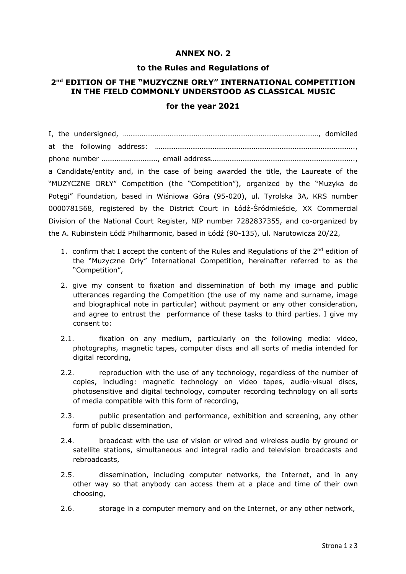## **ANNEX NO. 2**

#### **to the Rules and Regulations of**

# **2nd EDITION OF THE "MUZYCZNE ORŁY" INTERNATIONAL COMPETITION IN THE FIELD COMMONLY UNDERSTOOD AS CLASSICAL MUSIC**

#### **for the year 2021**

I, the undersigned, ……………………………………………………………………………………………, domiciled at the following address: …………………………………………………………………………………………….., phone number …………………………, email address………………………………………………………………….., a Candidate/entity and, in the case of being awarded the title, the Laureate of the "MUZYCZNE ORŁY" Competition (the "Competition"), organized by the "Muzyka do Potęgi" Foundation, based in Wiśniowa Góra (95-020), ul. Tyrolska 3A, KRS number 0000781568, registered by the District Court in Łódź-Śródmieście, XX Commercial Division of the National Court Register, NIP number 7282837355, and co-organized by the A. Rubinstein Łódź Philharmonic, based in Łódź (90-135), ul. Narutowicza 20/22,

- 1. confirm that I accept the content of the Rules and Regulations of the  $2^{nd}$  edition of the "Muzyczne Orły" International Competition, hereinafter referred to as the "Competition",
- 2. give my consent to fixation and dissemination of both my image and public utterances regarding the Competition (the use of my name and surname, image and biographical note in particular) without payment or any other consideration, and agree to entrust the performance of these tasks to third parties. I give my consent to:
- 2.1. fixation on any medium, particularly on the following media: video, photographs, magnetic tapes, computer discs and all sorts of media intended for digital recording,
- 2.2. reproduction with the use of any technology, regardless of the number of copies, including: magnetic technology on video tapes, audio-visual discs, photosensitive and digital technology, computer recording technology on all sorts of media compatible with this form of recording,
- 2.3. public presentation and performance, exhibition and screening, any other form of public dissemination,
- 2.4. broadcast with the use of vision or wired and wireless audio by ground or satellite stations, simultaneous and integral radio and television broadcasts and rebroadcasts,
- 2.5. dissemination, including computer networks, the Internet, and in any other way so that anybody can access them at a place and time of their own choosing,
- 2.6. storage in a computer memory and on the Internet, or any other network,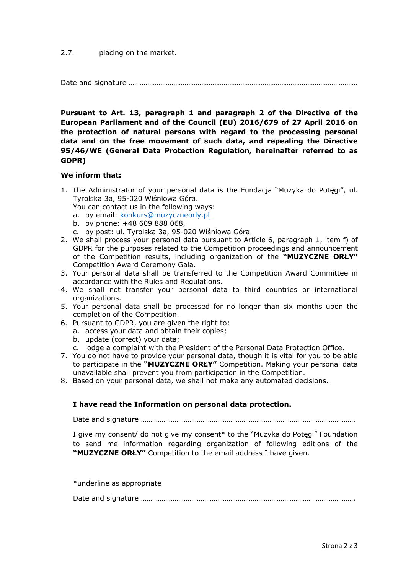#### 2.7. placing on the market.

Date and signature ……………………………………………………………………………………………………………

**Pursuant to Art. 13, paragraph 1 and paragraph 2 of the Directive of the European Parliament and of the Council (EU) 2016/679 of 27 April 2016 on the protection of natural persons with regard to the processing personal data and on the free movement of such data, and repealing the Directive 95/46/WE (General Data Protection Regulation, hereinafter referred to as GDPR)**

## **We inform that:**

1. The Administrator of your personal data is the Fundacja "Muzyka do Potęgi", ul. Tyrolska 3a, 95-020 Wiśniowa Góra.

You can contact us in the following ways:

- a. by email: konkurs@muzyczneorly.pl
- b. by phone: +48 609 888 068,
- c. by post: ul. Tyrolska 3a, 95-020 Wiśniowa Góra.
- 2. We shall process your personal data pursuant to Article 6, paragraph 1, item f) of GDPR for the purposes related to the Competition proceedings and announcement of the Competition results, including organization of the **"MUZYCZNE ORŁY"** Competition Award Ceremony Gala.
- 3. Your personal data shall be transferred to the Competition Award Committee in accordance with the Rules and Regulations.
- 4. We shall not transfer your personal data to third countries or international organizations.
- 5. Your personal data shall be processed for no longer than six months upon the completion of the Competition.
- 6. Pursuant to GDPR, you are given the right to:
	- a. access your data and obtain their copies;
	- b. update (correct) your data;
	- c. lodge a complaint with the President of the Personal Data Protection Office.
- 7. You do not have to provide your personal data, though it is vital for you to be able to participate in the **"MUZYCZNE ORŁY"** Competition. Making your personal data unavailable shall prevent you from participation in the Competition.
- 8. Based on your personal data, we shall not make any automated decisions.

## **I have read the Information on personal data protection.**

Date and signature …………………………………………………………………………………………………….

I give my consent/ do not give my consent\* to the "Muzyka do Potęgi" Foundation to send me information regarding organization of following editions of the **"MUZYCZNE ORŁY"** Competition to the email address I have given.

\*underline as appropriate

|--|--|